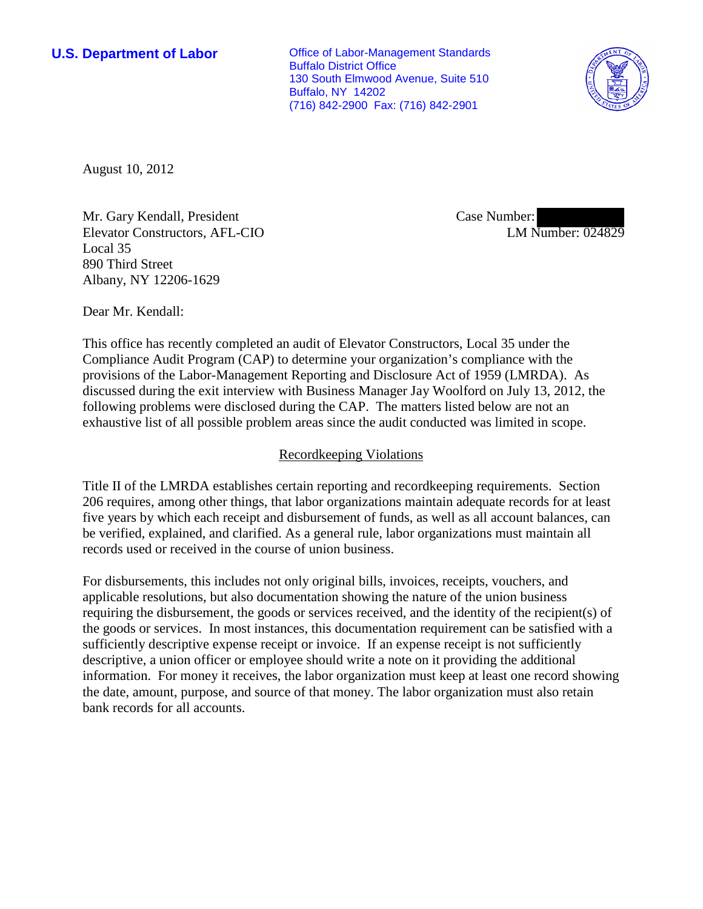**U.S. Department of Labor Conservative Conservative Conservative Conservative Conservative Conservative Conservative Conservative Conservative Conservative Conservative Conservative Conservative Conservative Conservative** Buffalo District Office 130 South Elmwood Avenue, Suite 510 Buffalo, NY 14202 (716) 842-2900 Fax: (716) 842-2901



August 10, 2012

Mr. Gary Kendall, President Elevator Constructors, AFL-CIO Local 35 890 Third Street Albany, NY 12206-1629

Case Number: LM Number: 024829

Dear Mr. Kendall:

This office has recently completed an audit of Elevator Constructors, Local 35 under the Compliance Audit Program (CAP) to determine your organization's compliance with the provisions of the Labor-Management Reporting and Disclosure Act of 1959 (LMRDA). As discussed during the exit interview with Business Manager Jay Woolford on July 13, 2012, the following problems were disclosed during the CAP. The matters listed below are not an exhaustive list of all possible problem areas since the audit conducted was limited in scope.

## Recordkeeping Violations

Title II of the LMRDA establishes certain reporting and recordkeeping requirements. Section 206 requires, among other things, that labor organizations maintain adequate records for at least five years by which each receipt and disbursement of funds, as well as all account balances, can be verified, explained, and clarified. As a general rule, labor organizations must maintain all records used or received in the course of union business.

For disbursements, this includes not only original bills, invoices, receipts, vouchers, and applicable resolutions, but also documentation showing the nature of the union business requiring the disbursement, the goods or services received, and the identity of the recipient(s) of the goods or services. In most instances, this documentation requirement can be satisfied with a sufficiently descriptive expense receipt or invoice. If an expense receipt is not sufficiently descriptive, a union officer or employee should write a note on it providing the additional information. For money it receives, the labor organization must keep at least one record showing the date, amount, purpose, and source of that money. The labor organization must also retain bank records for all accounts.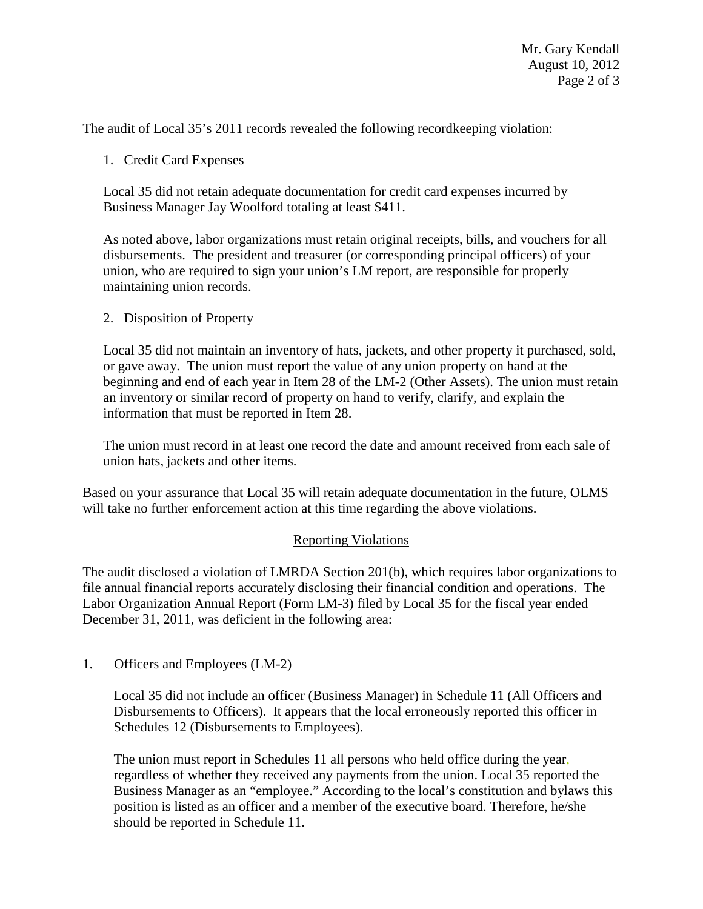The audit of Local 35's 2011 records revealed the following recordkeeping violation:

## 1. Credit Card Expenses

Local 35 did not retain adequate documentation for credit card expenses incurred by Business Manager Jay Woolford totaling at least \$411.

As noted above, labor organizations must retain original receipts, bills, and vouchers for all disbursements. The president and treasurer (or corresponding principal officers) of your union, who are required to sign your union's LM report, are responsible for properly maintaining union records.

## 2. Disposition of Property

Local 35 did not maintain an inventory of hats, jackets, and other property it purchased, sold, or gave away. The union must report the value of any union property on hand at the beginning and end of each year in Item 28 of the LM-2 (Other Assets). The union must retain an inventory or similar record of property on hand to verify, clarify, and explain the information that must be reported in Item 28.

The union must record in at least one record the date and amount received from each sale of union hats, jackets and other items.

Based on your assurance that Local 35 will retain adequate documentation in the future, OLMS will take no further enforcement action at this time regarding the above violations.

## Reporting Violations

The audit disclosed a violation of LMRDA Section 201(b), which requires labor organizations to file annual financial reports accurately disclosing their financial condition and operations. The Labor Organization Annual Report (Form LM-3) filed by Local 35 for the fiscal year ended December 31, 2011, was deficient in the following area:

1. Officers and Employees (LM-2)

Local 35 did not include an officer (Business Manager) in Schedule 11 (All Officers and Disbursements to Officers). It appears that the local erroneously reported this officer in Schedules 12 (Disbursements to Employees).

The union must report in Schedules 11 all persons who held office during the year, regardless of whether they received any payments from the union. Local 35 reported the Business Manager as an "employee." According to the local's constitution and bylaws this position is listed as an officer and a member of the executive board. Therefore, he/she should be reported in Schedule 11.